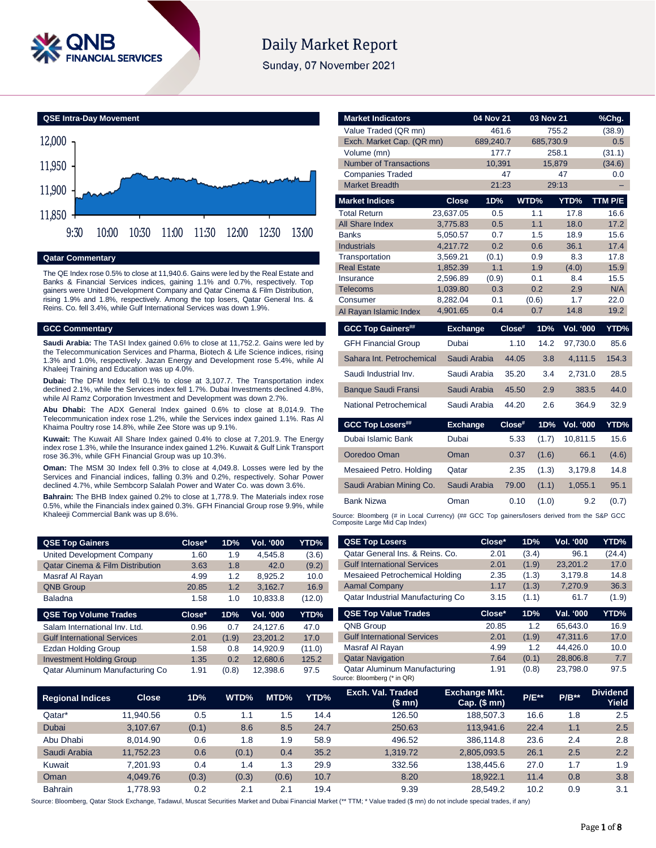

# **Daily Market Report**

Sunday, 07 November 2021



#### **Qatar Commentary**

The QE Index rose 0.5% to close at 11,940.6. Gains were led by the Real Estate and Banks & Financial Services indices, gaining 1.1% and 0.7%, respectively. Top gainers were United Development Company and Qatar Cinema & Film Distribution, rising 1.9% and 1.8%, respectively. Among the top losers, Qatar General Ins. & Reins. Co. fell 3.4%, while Gulf International Services was down 1.9%.

#### **GCC Commentary**

**Saudi Arabia:** The TASI Index gained 0.6% to close at 11,752.2. Gains were led by the Telecommunication Services and Pharma, Biotech & Life Science indices, rising 1.3% and 1.0%, respectively. Jazan Energy and Development rose 5.4%, while Al Khaleej Training and Education was up 4.0%.

**Dubai:** The DFM Index fell 0.1% to close at 3,107.7. The Transportation index declined 2.1%, while the Services index fell 1.7%. Dubai Investments declined 4.8%, while Al Ramz Corporation Investment and Development was down 2.7%.

**Abu Dhabi:** The ADX General Index gained 0.6% to close at 8,014.9. The Telecommunication index rose 1.2%, while the Services index gained 1.1%. Ras Al Khaima Poultry rose 14.8%, while Zee Store was up 9.1%.

**Kuwait:** The Kuwait All Share Index gained 0.4% to close at 7,201.9. The Energy index rose 1.3%, while the Insurance index gained 1.2%. Kuwait & Gulf Link Transport rose 36.3%, while GFH Financial Group was up 10.3%.

**Oman:** The MSM 30 Index fell 0.3% to close at 4,049.8. Losses were led by the Services and Financial indices, falling 0.3% and 0.2%, respectively. Sohar Power declined 4.7%, while Sembcorp Salalah Power and Water Co. was down 3.6%.

**Bahrain:** The BHB Index gained 0.2% to close at 1,778.9. The Materials index rose 0.5%, while the Financials index gained 0.3%. GFH Financial Group rose 9.9%, while Khaleeji Commercial Bank was up 8.6%.

| <b>QSE Top Gainers</b>                      | Close* | 1D%   | Vol. '000 | YTD%   |
|---------------------------------------------|--------|-------|-----------|--------|
| United Development Company                  | 1.60   | 1.9   | 4.545.8   | (3.6)  |
| <b>Qatar Cinema &amp; Film Distribution</b> | 3.63   | 1.8   | 42.0      | (9.2)  |
| Masraf Al Rayan                             | 4.99   | 1.2   | 8.925.2   | 10.0   |
| <b>QNB Group</b>                            | 20.85  | 1.2   | 3,162.7   | 16.9   |
| <b>Baladna</b>                              | 1.58   | 1.0   | 10,833.8  | (12.0) |
| <b>QSE Top Volume Trades</b>                | Close* | 1D%   | Vol. '000 | YTD%   |
| Salam International Inv. Ltd.               | 0.96   | 0.7   | 24.127.6  | 47.0   |
| <b>Gulf International Services</b>          | 2.01   | (1.9) | 23,201.2  | 17.0   |
| Ezdan Holding Group                         | 1.58   | 0.8   | 14.920.9  | (11.0) |

Investment Holding Group 1.35 0.2 12,680.6 125.2 Qatar Aluminum Manufacturing Co 1.91 (0.8) 12,398.6 97.5

| <b>Market Indicators</b>      |                 | 04 Nov 21 | 03 Nov 21      |                  | <u>%Chg.</u> |
|-------------------------------|-----------------|-----------|----------------|------------------|--------------|
| Value Traded (QR mn)          |                 | 461.6     |                | 755.2            | (38.9)       |
| Exch. Market Cap. (QR mn)     |                 | 689,240.7 | 685,730.9      |                  | 0.5          |
| Volume (mn)                   |                 | 177.7     |                | 258.1            | (31.1)       |
| <b>Number of Transactions</b> |                 | 10,391    |                | 15,879           | (34.6)       |
| <b>Companies Traded</b>       |                 | 47        |                | 47               | 0.0          |
| <b>Market Breadth</b>         |                 | 21:23     |                | 29:13            |              |
| <b>Market Indices</b>         | <b>Close</b>    | 1D%       | WTD%           | YTD%             | TTM P/E      |
| <b>Total Return</b>           | 23,637.05       | 0.5       | 1.1            | 17.8             | 16.6         |
| All Share Index               | 3,775.83        | 0.5       | 1.1            | 18.0             | 17.2         |
| <b>Banks</b>                  | 5,050.57        | 0.7       | 1.5            | 18.9             | 15.6         |
| <b>Industrials</b>            | 4,217.72        | 0.2       | 0.6            | 36.1             | 17.4         |
| Transportation                | 3,569.21        | (0.1)     | 0.9            | 8.3              | 17.8         |
| <b>Real Estate</b>            | 1,852.39        | 1.1       | 1.9            | (4.0)            | 15.9         |
| Insurance                     | 2,596.89        | (0.9)     | 0.1            | 8.4              | 15.5         |
| <b>Telecoms</b>               | 1,039.80        | 0.3       | 0.2            | 2.9              | N/A          |
| Consumer                      | 8,282.04        | 0.1       | (0.6)          | 1.7              | 22.0         |
| Al Rayan Islamic Index        | 4,901.65        | 0.4       | 0.7            | 14.8             | 19.2         |
|                               |                 |           |                |                  |              |
| <b>GCC Top Gainers##</b>      | <b>Exchange</b> |           | Close#<br>1D%  | <b>Vol. '000</b> |              |
| <b>GFH Financial Group</b>    | Dubai           |           | 1.10<br>14.2   | 97,730.0         | 85.6         |
| Sahara Int. Petrochemical     | Saudi Arabia    |           | 3.8<br>44.05   | 4,111.5          | 154.3        |
| Saudi Industrial Inv.         | Saudi Arabia    |           | 35.20<br>3.4   | 2,731.0          | 28.5         |
| <b>Banque Saudi Fransi</b>    | Saudi Arabia    |           | 45.50<br>2.9   | 383.5            | YTD%<br>44.0 |
| National Petrochemical        | Saudi Arabia    |           | 44.20<br>2.6   | 364.9            | 32.9         |
| <b>GCC Top Losers##</b>       | <b>Exchange</b> |           | Close#<br>1D%  | <b>Vol. '000</b> |              |
| Dubai Islamic Bank            | Dubai           |           | 5.33<br>(1.7)  | 10,811.5         | YTD%<br>15.6 |
| Ooredoo Oman                  | Oman            |           | 0.37<br>(1.6)  | 66.1             | (4.6)        |
| Mesaieed Petro. Holding       | Qatar           |           | 2.35<br>(1.3)  | 3,179.8          | 14.8         |
| Saudi Arabian Mining Co.      | Saudi Arabia    |           | (1.1)<br>79.00 | 1,055.1          | 95.1         |
| <b>Bank Nizwa</b>             | Oman            |           | 0.10<br>(1.0)  | 9.2              | (0.7)        |

Composite Large Mid Cap Index) **QSE Top Losers Close\* 1D% Vol. '000 YTD%**

| Qatar General Ins. & Reins. Co.    | 2.01   | (3.4) | 96.1      | (24.4) |
|------------------------------------|--------|-------|-----------|--------|
| <b>Gulf International Services</b> | 2.01   | (1.9) | 23.201.2  | 17.0   |
| Mesaieed Petrochemical Holding     | 2.35   | (1.3) | 3.179.8   | 14.8   |
| <b>Aamal Company</b>               | 1.17   | (1.3) | 7,270.9   | 36.3   |
| Qatar Industrial Manufacturing Co  | 3.15   | (1.1) | 61.7      | (1.9)  |
| <b>QSE Top Value Trades</b>        | Close* | 1D%   | Val. '000 | YTD%   |
| <b>QNB Group</b>                   | 20.85  | 1.2   | 65.643.0  | 16.9   |
| <b>Gulf International Services</b> | 2.01   | (1.9) | 47.311.6  | 17.0   |
| Masraf Al Rayan                    | 4.99   | 1.2   | 44.426.0  | 10.0   |
|                                    |        |       |           |        |
| <b>Qatar Navigation</b>            | 7.64   | (0.1) | 28.806.8  | 7.7    |

| <b>Regional Indices</b> | <b>Close</b> | 1D%   | WTD%  | MTD%  | YTD% | Exch. Val. Traded<br>$$$ mn $)$ | <b>Exchange Mkt.</b><br>Cap. $($$ mn $)$ | <b>P/E**</b> | $P/B***$ | <b>Dividend</b><br>Yield |
|-------------------------|--------------|-------|-------|-------|------|---------------------------------|------------------------------------------|--------------|----------|--------------------------|
| Qatar*                  | 11.940.56    | 0.5   | 1.1   | .5    | 14.4 | 126.50                          | 188.507.3                                | 16.6         | 1.8      | 2.5                      |
| Dubai                   | 3.107.67     | (0.1) | 8.6   | 8.5   | 24.7 | 250.63                          | 113.941.6                                | 22.4         | 1.1      | 2.5                      |
| Abu Dhabi               | 8.014.90     | 0.6   | 1.8   | 1.9   | 58.9 | 496.52                          | 386.114.8                                | 23.6         | 2.4      | 2.8                      |
| Saudi Arabia            | 11.752.23    | 0.6   | (0.1) | 0.4   | 35.2 | 1.319.72                        | 2.805.093.5                              | 26.1         | 2.5      | 2.2                      |
| Kuwait                  | 7.201.93     | 0.4   | 1.4   | l.3   | 29.9 | 332.56                          | 138,445.6                                | 27.0         | 1.7      | 1.9                      |
| Oman                    | 4.049.76     | (0.3) | (0.3) | (0.6) | 10.7 | 8.20                            | 18.922.1                                 | 11.4         | 0.8      | 3.8                      |
| <b>Bahrain</b>          | 1.778.93     | 0.2   | 2.1   | 2.1   | 19.4 | 9.39                            | 28.549.2                                 | 10.2         | 0.9      | 3.1                      |

Source: Bloomberg, Qatar Stock Exchange, Tadawul, Muscat Securities Market and Dubai Financial Market (\*\* TTM; \* Value traded (\$ mn) do not include special trades, if any)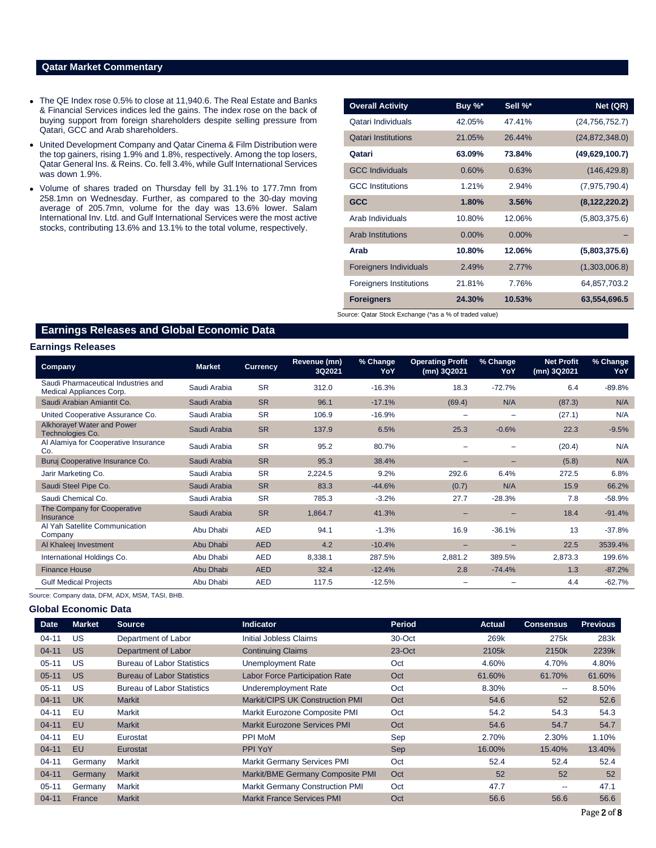## **Qatar Market Commentary**

- The QE Index rose 0.5% to close at 11,940.6. The Real Estate and Banks & Financial Services indices led the gains. The index rose on the back of buying support from foreign shareholders despite selling pressure from Qatari, GCC and Arab shareholders.
- United Development Company and Qatar Cinema & Film Distribution were the top gainers, rising 1.9% and 1.8%, respectively. Among the top losers, Qatar General Ins. & Reins. Co. fell 3.4%, while Gulf International Services was down 1.9%.
- Volume of shares traded on Thursday fell by 31.1% to 177.7mn from 258.1mn on Wednesday. Further, as compared to the 30-day moving average of 205.7mn, volume for the day was 13.6% lower. Salam International Inv. Ltd. and Gulf International Services were the most active stocks, contributing 13.6% and 13.1% to the total volume, respectively.

| Buy %*   | Sell %*  | Net (QR)         |
|----------|----------|------------------|
| 42.05%   | 47.41%   | (24, 756, 752.7) |
| 21.05%   | 26.44%   | (24,872,348.0)   |
| 63.09%   | 73.84%   | (49,629,100.7)   |
| 0.60%    | 0.63%    | (146, 429.8)     |
| 1.21%    | 2.94%    | (7,975,790.4)    |
| 1.80%    | 3.56%    | (8, 122, 220.2)  |
| 10.80%   | 12.06%   | (5,803,375.6)    |
| $0.00\%$ | $0.00\%$ |                  |
| 10.80%   | 12.06%   | (5,803,375.6)    |
| 2.49%    | 2.77%    | (1,303,006.8)    |
| 21.81%   | 7.76%    | 64,857,703.2     |
| 24.30%   | 10.53%   | 63,554,696.5     |
|          |          |                  |

**Earnings Releases and Global Economic Data**

### **Earnings Releases**

| Company                                                         | <b>Market</b> | <b>Currency</b> | Revenue (mn)<br>3Q2021 | % Change<br>YoY | <b>Operating Profit</b><br>(mn) 3Q2021 | % Change<br>YoY | <b>Net Profit</b><br>(mn) 3Q2021 | % Change<br>YoY |
|-----------------------------------------------------------------|---------------|-----------------|------------------------|-----------------|----------------------------------------|-----------------|----------------------------------|-----------------|
| Saudi Pharmaceutical Industries and<br>Medical Appliances Corp. | Saudi Arabia  | <b>SR</b>       | 312.0                  | $-16.3%$        | 18.3                                   | $-72.7%$        | 6.4                              | $-89.8%$        |
| Saudi Arabian Amiantit Co.                                      | Saudi Arabia  | <b>SR</b>       | 96.1                   | $-17.1%$        | (69.4)                                 | N/A             | (87.3)                           | N/A             |
| United Cooperative Assurance Co.                                | Saudi Arabia  | <b>SR</b>       | 106.9                  | $-16.9%$        |                                        |                 | (27.1)                           | N/A             |
| Alkhorayef Water and Power<br>Technologies Co.                  | Saudi Arabia  | <b>SR</b>       | 137.9                  | 6.5%            | 25.3                                   | $-0.6%$         | 22.3                             | $-9.5%$         |
| Al Alamiya for Cooperative Insurance<br>Co.                     | Saudi Arabia  | <b>SR</b>       | 95.2                   | 80.7%           |                                        |                 | (20.4)                           | N/A             |
| Buruj Cooperative Insurance Co.                                 | Saudi Arabia  | <b>SR</b>       | 95.3                   | 38.4%           |                                        |                 | (5.8)                            | N/A             |
| Jarir Marketing Co.                                             | Saudi Arabia  | <b>SR</b>       | 2,224.5                | 9.2%            | 292.6                                  | 6.4%            | 272.5                            | 6.8%            |
| Saudi Steel Pipe Co.                                            | Saudi Arabia  | <b>SR</b>       | 83.3                   | $-44.6%$        | (0.7)                                  | N/A             | 15.9                             | 66.2%           |
| Saudi Chemical Co.                                              | Saudi Arabia  | <b>SR</b>       | 785.3                  | $-3.2%$         | 27.7                                   | $-28.3%$        | 7.8                              | $-58.9%$        |
| The Company for Cooperative<br><b>Insurance</b>                 | Saudi Arabia  | <b>SR</b>       | 1,864.7                | 41.3%           |                                        |                 | 18.4                             | $-91.4%$        |
| Al Yah Satellite Communication<br>Company                       | Abu Dhabi     | <b>AED</b>      | 94.1                   | $-1.3%$         | 16.9                                   | $-36.1%$        | 13                               | $-37.8%$        |
| Al Khaleej Investment                                           | Abu Dhabi     | <b>AED</b>      | 4.2                    | $-10.4%$        |                                        |                 | 22.5                             | 3539.4%         |
| International Holdings Co.                                      | Abu Dhabi     | AED             | 8,338.1                | 287.5%          | 2,881.2                                | 389.5%          | 2,873.3                          | 199.6%          |
| <b>Finance House</b>                                            | Abu Dhabi     | <b>AED</b>      | 32.4                   | $-12.4%$        | 2.8                                    | $-74.4%$        | 1.3                              | $-87.2%$        |
| <b>Gulf Medical Projects</b>                                    | Abu Dhabi     | <b>AED</b>      | 117.5                  | $-12.5%$        |                                        |                 | 4.4                              | $-62.7%$        |

Source: Company data, DFM, ADX, MSM, TASI, BHB.

#### **Global Economic Data**

| <b>Date</b> | <b>Market</b> | <b>Source</b>                     | <b>Indicator</b>                       | Period | Actual | <b>Consensus</b>         | <b>Previous</b> |
|-------------|---------------|-----------------------------------|----------------------------------------|--------|--------|--------------------------|-----------------|
| $04 - 11$   | US            | Department of Labor               | Initial Jobless Claims                 | 30-Oct | 269k   | 275k                     | 283k            |
| $04 - 11$   | <b>US</b>     | Department of Labor               | <b>Continuing Claims</b>               | 23-Oct | 2105k  | 2150k                    | 2239k           |
| $05 - 11$   | US            | <b>Bureau of Labor Statistics</b> | Unemployment Rate                      | Oct    | 4.60%  | 4.70%                    | 4.80%           |
| $05 - 11$   | <b>US</b>     | <b>Bureau of Labor Statistics</b> | <b>Labor Force Participation Rate</b>  | Oct    | 61.60% | 61.70%                   | 61.60%          |
| $05 - 11$   | US            | <b>Bureau of Labor Statistics</b> | Underemployment Rate                   | Oct    | 8.30%  | $\overline{\phantom{a}}$ | 8.50%           |
| $04 - 11$   | UK            | <b>Markit</b>                     | <b>Markit/CIPS UK Construction PMI</b> | Oct    | 54.6   | 52                       | 52.6            |
| $04 - 11$   | EU            | Markit                            | Markit Eurozone Composite PMI          | Oct    | 54.2   | 54.3                     | 54.3            |
| $04 - 11$   | EU            | <b>Markit</b>                     | <b>Markit Eurozone Services PMI</b>    | Oct    | 54.6   | 54.7                     | 54.7            |
| $04 - 11$   | EU            | Eurostat                          | PPI MoM                                | Sep    | 2.70%  | 2.30%                    | 1.10%           |
| $04 - 11$   | EU            | Eurostat                          | PPI YoY                                | Sep    | 16.00% | 15.40%                   | 13.40%          |
| $04 - 11$   | Germany       | Markit                            | <b>Markit Germany Services PMI</b>     | Oct    | 52.4   | 52.4                     | 52.4            |
| $04 - 11$   | Germany       | <b>Markit</b>                     | Markit/BME Germany Composite PMI       | Oct    | 52     | 52                       | 52              |
| $05 - 11$   | Germany       | Markit                            | <b>Markit Germany Construction PMI</b> | Oct    | 47.7   | $\overline{\phantom{m}}$ | 47.1            |
| $04 - 11$   | France        | <b>Markit</b>                     | <b>Markit France Services PMI</b>      | Oct    | 56.6   | 56.6                     | 56.6            |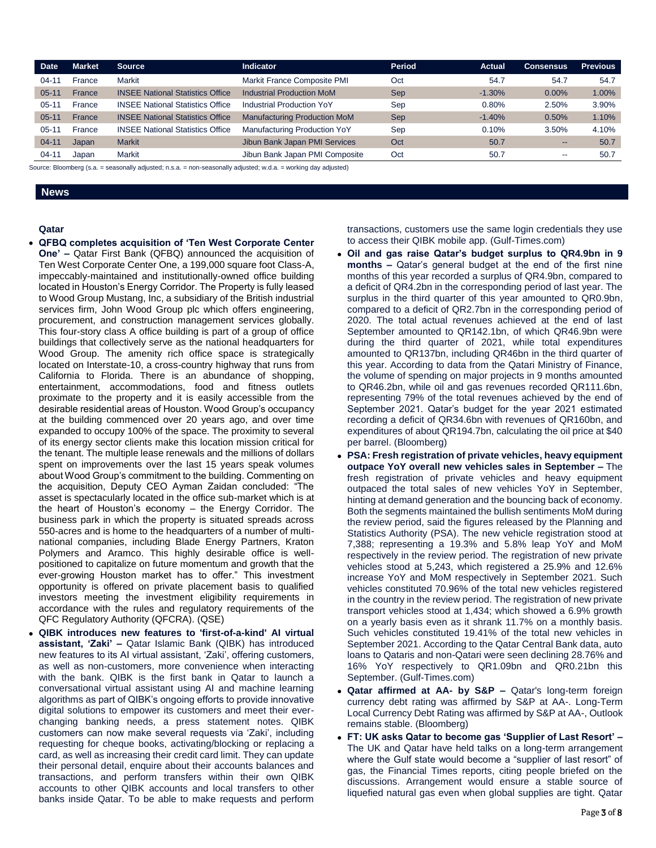| Date      | <b>Market</b> | <b>Source</b>                           | <b>Indicator</b>                    | Period     | <b>Actual</b> | <b>Consensus</b>         | <b>Previous</b> |
|-----------|---------------|-----------------------------------------|-------------------------------------|------------|---------------|--------------------------|-----------------|
| $04 - 11$ | France        | Markit                                  | Markit France Composite PMI         | Oct        | 54.7          | 54.7                     | 54.7            |
| $05 - 11$ | France        | <b>INSEE National Statistics Office</b> | <b>Industrial Production MoM</b>    | <b>Sep</b> | $-1.30%$      | 0.00%                    | 1.00%           |
| $05 - 11$ | France        | <b>INSEE National Statistics Office</b> | Industrial Production YoY           | Sep        | 0.80%         | 2.50%                    | 3.90%           |
| $05-11$   | France        | <b>INSEE National Statistics Office</b> | <b>Manufacturing Production MoM</b> | <b>Sep</b> | $-1.40%$      | 0.50%                    | 1.10%           |
| $05 - 11$ | France        | <b>INSEE National Statistics Office</b> | Manufacturing Production YoY        | Sep        | 0.10%         | 3.50%                    | 4.10%           |
| $04 - 11$ | Japan         | <b>Markit</b>                           | Jibun Bank Japan PMI Services       | Oct        | 50.7          | $\qquad \qquad \cdots$   | 50.7            |
| $04 - 11$ | Japan         | Markit                                  | Jibun Bank Japan PMI Composite      | Oct        | 50.7          | $\overline{\phantom{m}}$ | 50.7            |

Source: Bloomberg (s.a. = seasonally adjusted; n.s.a. = non-seasonally adjusted; w.d.a. = working day adjusted)

### **News**

#### **Qatar**

 **QFBQ completes acquisition of 'Ten West Corporate Center One' –** Qatar First Bank (QFBQ) announced the acquisition of Ten West Corporate Center One, a 199,000 square foot Class-A, impeccably-maintained and institutionally-owned office building located in Houston's Energy Corridor. The Property is fully leased to Wood Group Mustang, Inc, a subsidiary of the British industrial services firm, John Wood Group plc which offers engineering, procurement, and construction management services globally. This four-story class A office building is part of a group of office buildings that collectively serve as the national headquarters for Wood Group. The amenity rich office space is strategically located on Interstate-10, a cross-country highway that runs from California to Florida. There is an abundance of shopping, entertainment, accommodations, food and fitness outlets proximate to the property and it is easily accessible from the desirable residential areas of Houston. Wood Group's occupancy at the building commenced over 20 years ago, and over time expanded to occupy 100% of the space. The proximity to several of its energy sector clients make this location mission critical for the tenant. The multiple lease renewals and the millions of dollars spent on improvements over the last 15 years speak volumes about Wood Group's commitment to the building. Commenting on the acquisition, Deputy CEO Ayman Zaidan concluded: "The asset is spectacularly located in the office sub-market which is at the heart of Houston's economy – the Energy Corridor. The business park in which the property is situated spreads across 550-acres and is home to the headquarters of a number of multinational companies, including Blade Energy Partners, Kraton Polymers and Aramco. This highly desirable office is wellpositioned to capitalize on future momentum and growth that the ever-growing Houston market has to offer." This investment opportunity is offered on private placement basis to qualified investors meeting the investment eligibility requirements in accordance with the rules and regulatory requirements of the QFC Regulatory Authority (QFCRA). (QSE)

 **QIBK introduces new features to 'first-of-a-kind' AI virtual assistant, 'Zaki' –** Qatar Islamic Bank (QIBK) has introduced new features to its AI virtual assistant, 'Zaki', offering customers, as well as non-customers, more convenience when interacting with the bank. QIBK is the first bank in Qatar to launch a conversational virtual assistant using AI and machine learning algorithms as part of QIBK's ongoing efforts to provide innovative digital solutions to empower its customers and meet their everchanging banking needs, a press statement notes. QIBK customers can now make several requests via 'Zaki', including requesting for cheque books, activating/blocking or replacing a card, as well as increasing their credit card limit. They can update their personal detail, enquire about their accounts balances and transactions, and perform transfers within their own QIBK accounts to other QIBK accounts and local transfers to other banks inside Qatar. To be able to make requests and perform

transactions, customers use the same login credentials they use to access their QIBK mobile app. (Gulf-Times.com)

- **Oil and gas raise Qatar's budget surplus to QR4.9bn in 9 months –** Qatar's general budget at the end of the first nine months of this year recorded a surplus of QR4.9bn, compared to a deficit of QR4.2bn in the corresponding period of last year. The surplus in the third quarter of this year amounted to QR0.9bn, compared to a deficit of QR2.7bn in the corresponding period of 2020. The total actual revenues achieved at the end of last September amounted to QR142.1bn, of which QR46.9bn were during the third quarter of 2021, while total expenditures amounted to QR137bn, including QR46bn in the third quarter of this year. According to data from the Qatari Ministry of Finance, the volume of spending on major projects in 9 months amounted to QR46.2bn, while oil and gas revenues recorded QR111.6bn, representing 79% of the total revenues achieved by the end of September 2021. Qatar's budget for the year 2021 estimated recording a deficit of QR34.6bn with revenues of QR160bn, and expenditures of about QR194.7bn, calculating the oil price at \$40 per barrel. (Bloomberg)
- **PSA: Fresh registration of private vehicles, heavy equipment outpace YoY overall new vehicles sales in September –** The fresh registration of private vehicles and heavy equipment outpaced the total sales of new vehicles YoY in September, hinting at demand generation and the bouncing back of economy. Both the segments maintained the bullish sentiments MoM during the review period, said the figures released by the Planning and Statistics Authority (PSA). The new vehicle registration stood at 7,388; representing a 19.3% and 5.8% leap YoY and MoM respectively in the review period. The registration of new private vehicles stood at 5,243, which registered a 25.9% and 12.6% increase YoY and MoM respectively in September 2021. Such vehicles constituted 70.96% of the total new vehicles registered in the country in the review period. The registration of new private transport vehicles stood at 1,434; which showed a 6.9% growth on a yearly basis even as it shrank 11.7% on a monthly basis. Such vehicles constituted 19.41% of the total new vehicles in September 2021. According to the Qatar Central Bank data, auto loans to Qataris and non-Qatari were seen declining 28.76% and 16% YoY respectively to QR1.09bn and QR0.21bn this September. (Gulf-Times.com)
- **Qatar affirmed at AA- by S&P –** Qatar's long-term foreign currency debt rating was affirmed by S&P at AA-. Long-Term Local Currency Debt Rating was affirmed by S&P at AA-, Outlook remains stable. (Bloomberg)
- **FT: UK asks Qatar to become gas 'Supplier of Last Resort' –** The UK and Qatar have held talks on a long-term arrangement where the Gulf state would become a "supplier of last resort" of gas, the Financial Times reports, citing people briefed on the discussions. Arrangement would ensure a stable source of liquefied natural gas even when global supplies are tight. Qatar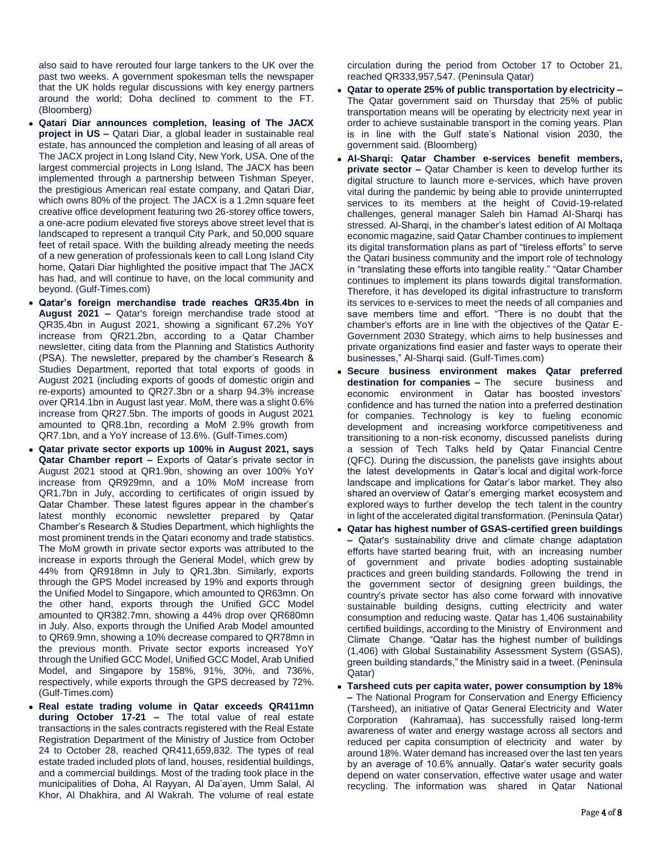also said to have rerouted four large tankers to the UK over the past two weeks. A government spokesman tells the newspaper that the UK holds regular discussions with key energy partners around the world; Doha declined to comment to the FT. (Bloomberg)

- **Qatari Diar announces completion, leasing of The JACX project in US –** Qatari Diar, a global leader in sustainable real estate, has announced the completion and leasing of all areas of The JACX project in Long Island City, New York, USA. One of the largest commercial projects in Long Island, The JACX has been implemented through a partnership between Tishman Speyer, the prestigious American real estate company, and Qatari Diar, which owns 80% of the project. The JACX is a 1.2mn square feet creative office development featuring two 26-storey office towers, a one-acre podium elevated five storeys above street level that is landscaped to represent a tranquil City Park, and 50,000 square feet of retail space. With the building already meeting the needs of a new generation of professionals keen to call Long Island City home, Qatari Diar highlighted the positive impact that The JACX has had, and will continue to have, on the local community and beyond. (Gulf-Times.com)
- **Qatar's foreign merchandise trade reaches QR35.4bn in August 2021 –** Qatar's foreign merchandise trade stood at QR35.4bn in August 2021, showing a significant 67.2% YoY increase from QR21.2bn, according to a Qatar Chamber newsletter, citing data from the Planning and Statistics Authority (PSA). The newsletter, prepared by the chamber's Research & Studies Department, reported that total exports of goods in August 2021 (including exports of goods of domestic origin and re-exports) amounted to QR27.3bn or a sharp 94.3% increase over QR14.1bn in August last year. MoM, there was a slight 0.6% increase from QR27.5bn. The imports of goods in August 2021 amounted to QR8.1bn, recording a MoM 2.9% growth from QR7.1bn, and a YoY increase of 13.6%. (Gulf-Times.com)
- **Qatar private sector exports up 100% in August 2021, says Qatar Chamber report –** Exports of Qatar's private sector in August 2021 stood at QR1.9bn, showing an over 100% YoY increase from QR929mn, and a 10% MoM increase from QR1.7bn in July, according to certificates of origin issued by Qatar Chamber. These latest figures appear in the chamber's latest monthly economic newsletter prepared by Qatar Chamber's Research & Studies Department, which highlights the most prominent trends in the Qatari economy and trade statistics. The MoM growth in private sector exports was attributed to the increase in exports through the General Model, which grew by 44% from QR918mn in July to QR1.3bn. Similarly, exports through the GPS Model increased by 19% and exports through the Unified Model to Singapore, which amounted to QR63mn. On the other hand, exports through the Unified GCC Model amounted to QR382.7mn, showing a 44% drop over QR680mn in July. Also, exports through the Unified Arab Model amounted to QR69.9mn, showing a 10% decrease compared to QR78mn in the previous month. Private sector exports increased YoY through the Unified GCC Model, Unified GCC Model, Arab Unified Model, and Singapore by 158%, 91%, 30%, and 736%, respectively, while exports through the GPS decreased by 72%. (Gulf-Times.com)
- **Real estate trading volume in Qatar exceeds QR411mn during October 17-21 –** The total value of real estate transactions in the sales contracts registered with the Real Estate Registration Department of the Ministry of Justice from October 24 to October 28, reached QR411,659,832. The types of real estate traded included plots of land, houses, residential buildings, and a commercial buildings. Most of the trading took place in the municipalities of Doha, Al Rayyan, Al Da'ayen, Umm Salal, Al Khor, Al Dhakhira, and Al Wakrah. The volume of real estate

circulation during the period from October 17 to October 21, reached QR333,957,547. (Peninsula Qatar)

- **Qatar to operate 25% of public transportation by electricity –** The Qatar government said on Thursday that 25% of public transportation means will be operating by electricity next year in order to achieve sustainable transport in the coming years. Plan is in line with the Gulf state's National vision 2030, the government said. (Bloomberg)
- **Al-Sharqi: Qatar Chamber e-services benefit members, private sector –** Qatar Chamber is keen to develop further its digital structure to launch more e-services, which have proven vital during the pandemic by being able to provide uninterrupted services to its members at the height of Covid-19-related challenges, general manager Saleh bin Hamad Al-Sharqi has stressed. Al-Sharqi, in the chamber's latest edition of Al Moltaqa economic magazine, said Qatar Chamber continues to implement its digital transformation plans as part of "tireless efforts" to serve the Qatari business community and the import role of technology in "translating these efforts into tangible reality." "Qatar Chamber continues to implement its plans towards digital transformation. Therefore, it has developed its digital infrastructure to transform its services to e-services to meet the needs of all companies and save members time and effort. "There is no doubt that the chamber's efforts are in line with the objectives of the Qatar E-Government 2030 Strategy, which aims to help businesses and private organizations find easier and faster ways to operate their businesses," Al-Sharqi said. (Gulf-Times.com)
- **Secure business environment makes Qatar preferred destination for companies –** The secure business and economic environment in Qatar has boosted investors' confidence and has turned the nation into a preferred destination for companies. Technology is key to fueling economic development and increasing workforce competitiveness and transitioning to a non-risk economy, discussed panelists during a session of Tech Talks held by Qatar Financial Centre (QFC). During the discussion, the panelists gave insights about the latest developments in Qatar's local and digital work-force landscape and implications for Qatar's labor market. They also shared an overview of Qatar's emerging market ecosystem and explored ways to further develop the tech talent in the country in light of the accelerated digital transformation. (Peninsula Qatar)
- **Qatar has highest number of GSAS-certified green buildings –** Qatar's sustainability drive and climate change adaptation efforts have started bearing fruit, with an increasing number of government and private bodies adopting sustainable practices and green building standards. Following the trend in the government sector of designing green buildings, the country's private sector has also come forward with innovative sustainable building designs, cutting electricity and water consumption and reducing waste. Qatar has 1,406 sustainability certified buildings, according to the Ministry of Environment and Climate Change. "Qatar has the highest number of buildings (1,406) with Global Sustainability Assessment System (GSAS), green building standards," the Ministry said in a tweet. (Peninsula Qatar)
- **Tarsheed cuts per capita water, power consumption by 18% –** The National Program for Conservation and Energy Efficiency (Tarsheed), an initiative of Qatar General Electricity and Water Corporation (Kahramaa), has successfully raised long-term awareness of water and energy wastage across all sectors and reduced per capita consumption of electricity and water by around 18%. Water demand has increased over the last ten years by an average of 10.6% annually. Qatar's water security goals depend on water conservation, effective water usage and water recycling. The information was shared in Qatar National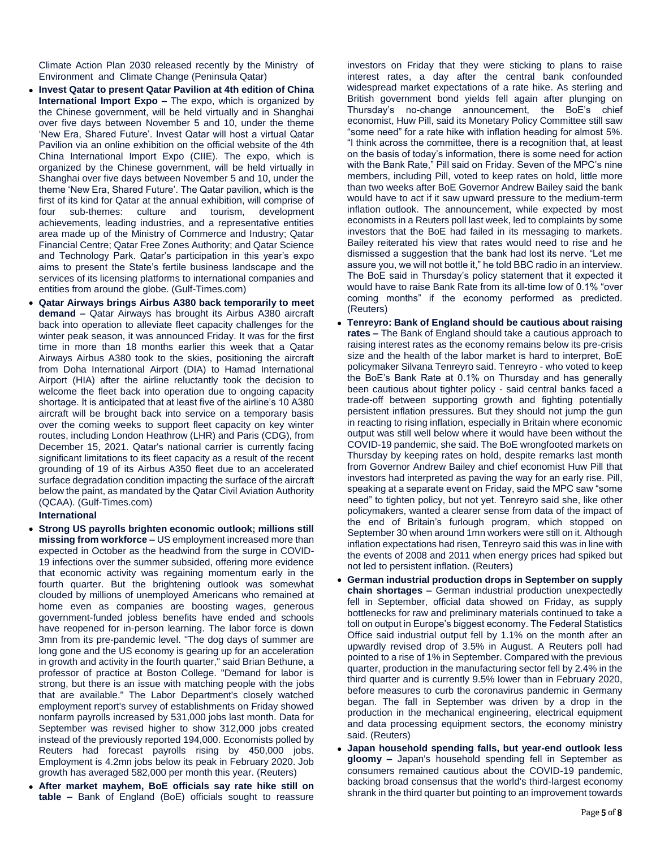Climate Action Plan 2030 released recently by the Ministry of Environment and Climate Change (Peninsula Qatar)

- **Invest Qatar to present Qatar Pavilion at 4th edition of China International Import Expo –** The expo, which is organized by the Chinese government, will be held virtually and in Shanghai over five days between November 5 and 10, under the theme 'New Era, Shared Future'. Invest Qatar will host a virtual Qatar Pavilion via an online exhibition on the official website of the 4th China International Import Expo (CIIE). The expo, which is organized by the Chinese government, will be held virtually in Shanghai over five days between November 5 and 10, under the theme 'New Era, Shared Future'. The Qatar pavilion, which is the first of its kind for Qatar at the annual exhibition, will comprise of four sub-themes: culture and tourism, development achievements, leading industries, and a representative entities area made up of the Ministry of Commerce and Industry; Qatar Financial Centre; Qatar Free Zones Authority; and Qatar Science and Technology Park. Qatar's participation in this year's expo aims to present the State's fertile business landscape and the services of its licensing platforms to international companies and entities from around the globe. (Gulf-Times.com)
- **Qatar Airways brings Airbus A380 back temporarily to meet demand –** Qatar Airways has brought its Airbus A380 aircraft back into operation to alleviate fleet capacity challenges for the winter peak season, it was announced Friday. It was for the first time in more than 18 months earlier this week that a Qatar Airways Airbus A380 took to the skies, positioning the aircraft from Doha International Airport (DIA) to Hamad International Airport (HIA) after the airline reluctantly took the decision to welcome the fleet back into operation due to ongoing capacity shortage. It is anticipated that at least five of the airline's 10 A380 aircraft will be brought back into service on a temporary basis over the coming weeks to support fleet capacity on key winter routes, including London Heathrow (LHR) and Paris (CDG), from December 15, 2021. Qatar's national carrier is currently facing significant limitations to its fleet capacity as a result of the recent grounding of 19 of its Airbus A350 fleet due to an accelerated surface degradation condition impacting the surface of the aircraft below the paint, as mandated by the Qatar Civil Aviation Authority (QCAA). (Gulf-Times.com)

#### **International**

- **Strong US payrolls brighten economic outlook; millions still missing from workforce –** US employment increased more than expected in October as the headwind from the surge in COVID-19 infections over the summer subsided, offering more evidence that economic activity was regaining momentum early in the fourth quarter. But the brightening outlook was somewhat clouded by millions of unemployed Americans who remained at home even as companies are boosting wages, generous government-funded jobless benefits have ended and schools have reopened for in-person learning. The labor force is down 3mn from its pre-pandemic level. "The dog days of summer are long gone and the US economy is gearing up for an acceleration in growth and activity in the fourth quarter," said Brian Bethune, a professor of practice at Boston College. "Demand for labor is strong, but there is an issue with matching people with the jobs that are available." The Labor Department's closely watched employment report's survey of establishments on Friday showed nonfarm payrolls increased by 531,000 jobs last month. Data for September was revised higher to show 312,000 jobs created instead of the previously reported 194,000. Economists polled by Reuters had forecast payrolls rising by 450,000 jobs. Employment is 4.2mn jobs below its peak in February 2020. Job growth has averaged 582,000 per month this year. (Reuters)
- **After market mayhem, BoE officials say rate hike still on table –** Bank of England (BoE) officials sought to reassure

investors on Friday that they were sticking to plans to raise interest rates, a day after the central bank confounded widespread market expectations of a rate hike. As sterling and British government bond yields fell again after plunging on Thursday's no-change announcement, the BoE's chief economist, Huw Pill, said its Monetary Policy Committee still saw "some need" for a rate hike with inflation heading for almost 5%. "I think across the committee, there is a recognition that, at least on the basis of today's information, there is some need for action with the Bank Rate," Pill said on Friday. Seven of the MPC's nine members, including Pill, voted to keep rates on hold, little more than two weeks after BoE Governor Andrew Bailey said the bank would have to act if it saw upward pressure to the medium-term inflation outlook. The announcement, while expected by most economists in a Reuters poll last week, led to complaints by some investors that the BoE had failed in its messaging to markets. Bailey reiterated his view that rates would need to rise and he dismissed a suggestion that the bank had lost its nerve. "Let me assure you, we will not bottle it," he told BBC radio in an interview. The BoE said in Thursday's policy statement that it expected it would have to raise Bank Rate from its all-time low of 0.1% "over coming months" if the economy performed as predicted. (Reuters)

- **Tenreyro: Bank of England should be cautious about raising rates –** The Bank of England should take a cautious approach to raising interest rates as the economy remains below its pre-crisis size and the health of the labor market is hard to interpret, BoE policymaker Silvana Tenreyro said. Tenreyro - who voted to keep the BoE's Bank Rate at 0.1% on Thursday and has generally been cautious about tighter policy - said central banks faced a trade-off between supporting growth and fighting potentially persistent inflation pressures. But they should not jump the gun in reacting to rising inflation, especially in Britain where economic output was still well below where it would have been without the COVID-19 pandemic, she said. The BoE wrongfooted markets on Thursday by keeping rates on hold, despite remarks last month from Governor Andrew Bailey and chief economist Huw Pill that investors had interpreted as paving the way for an early rise. Pill, speaking at a separate event on Friday, said the MPC saw "some need" to tighten policy, but not yet. Tenreyro said she, like other policymakers, wanted a clearer sense from data of the impact of the end of Britain's furlough program, which stopped on September 30 when around 1mn workers were still on it. Although inflation expectations had risen, Tenreyro said this was in line with the events of 2008 and 2011 when energy prices had spiked but not led to persistent inflation. (Reuters)
- **German industrial production drops in September on supply chain shortages –** German industrial production unexpectedly fell in September, official data showed on Friday, as supply bottlenecks for raw and preliminary materials continued to take a toll on output in Europe's biggest economy. The Federal Statistics Office said industrial output fell by 1.1% on the month after an upwardly revised drop of 3.5% in August. A Reuters poll had pointed to a rise of 1% in September. Compared with the previous quarter, production in the manufacturing sector fell by 2.4% in the third quarter and is currently 9.5% lower than in February 2020, before measures to curb the coronavirus pandemic in Germany began. The fall in September was driven by a drop in the production in the mechanical engineering, electrical equipment and data processing equipment sectors, the economy ministry said. (Reuters)
- **Japan household spending falls, but year-end outlook less gloomy –** Japan's household spending fell in September as consumers remained cautious about the COVID-19 pandemic, backing broad consensus that the world's third-largest economy shrank in the third quarter but pointing to an improvement towards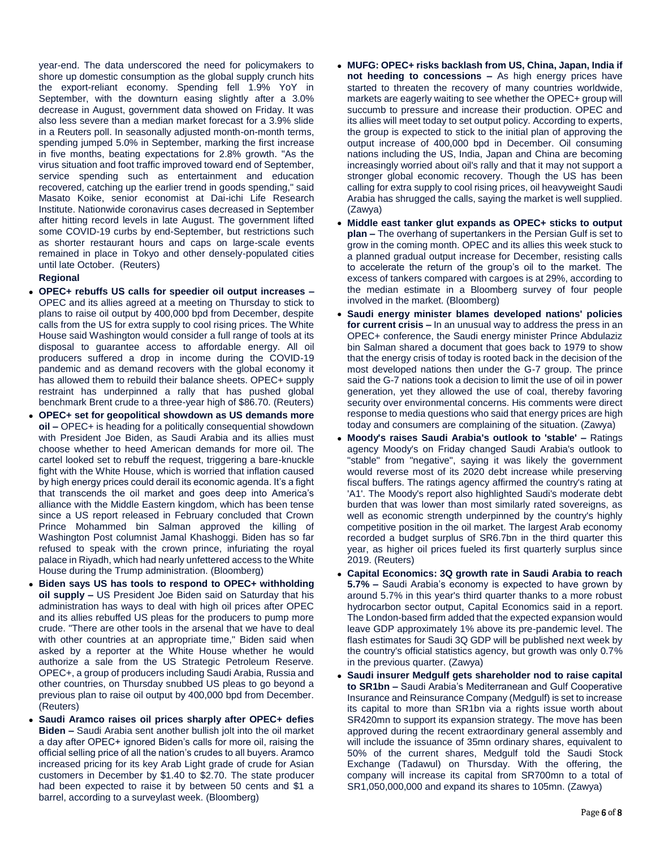year-end. The data underscored the need for policymakers to shore up domestic consumption as the global supply crunch hits the export-reliant economy. Spending fell 1.9% YoY in September, with the downturn easing slightly after a 3.0% decrease in August, government data showed on Friday. It was also less severe than a median market forecast for a 3.9% slide in a Reuters poll. In seasonally adjusted month-on-month terms, spending jumped 5.0% in September, marking the first increase in five months, beating expectations for 2.8% growth. "As the virus situation and foot traffic improved toward end of September, service spending such as entertainment and education recovered, catching up the earlier trend in goods spending," said Masato Koike, senior economist at Dai-ichi Life Research Institute. Nationwide coronavirus cases decreased in September after hitting record levels in late August. The government lifted some COVID-19 curbs by end-September, but restrictions such as shorter restaurant hours and caps on large-scale events remained in place in Tokyo and other densely-populated cities until late October. (Reuters)

### **Regional**

- **OPEC+ rebuffs US calls for speedier oil output increases –** OPEC and its allies agreed at a meeting on Thursday to stick to plans to raise oil output by 400,000 bpd from December, despite calls from the US for extra supply to cool rising prices. The White House said Washington would consider a full range of tools at its disposal to guarantee access to affordable energy. All oil producers suffered a drop in income during the COVID-19 pandemic and as demand recovers with the global economy it has allowed them to rebuild their balance sheets. OPEC+ supply restraint has underpinned a rally that has pushed global benchmark Brent crude to a three-year high of \$86.70. (Reuters)
- **OPEC+ set for geopolitical showdown as US demands more oil –** OPEC+ is heading for a politically consequential showdown with President Joe Biden, as Saudi Arabia and its allies must choose whether to heed American demands for more oil. The cartel looked set to rebuff the request, triggering a bare-knuckle fight with the White House, which is worried that inflation caused by high energy prices could derail its economic agenda. It's a fight that transcends the oil market and goes deep into America's alliance with the Middle Eastern kingdom, which has been tense since a US report released in February concluded that Crown Prince Mohammed bin Salman approved the killing of Washington Post columnist Jamal Khashoggi. Biden has so far refused to speak with the crown prince, infuriating the royal palace in Riyadh, which had nearly unfettered access to the White House during the Trump administration. (Bloomberg)
- **Biden says US has tools to respond to OPEC+ withholding oil supply –** US President Joe Biden said on Saturday that his administration has ways to deal with high oil prices after OPEC and its allies rebuffed US pleas for the producers to pump more crude. "There are other tools in the arsenal that we have to deal with other countries at an appropriate time," Biden said when asked by a reporter at the White House whether he would authorize a sale from the US Strategic Petroleum Reserve. OPEC+, a group of producers including Saudi Arabia, Russia and other countries, on Thursday snubbed US pleas to go beyond a previous plan to raise oil output by 400,000 bpd from December. (Reuters)
- **Saudi Aramco raises oil prices sharply after OPEC+ defies Biden –** Saudi Arabia sent another bullish jolt into the oil market a day after OPEC+ ignored Biden's calls for more oil, raising the official selling price of all the nation's crudes to all buyers. Aramco increased pricing for its key Arab Light grade of crude for Asian customers in December by \$1.40 to \$2.70. The state producer had been expected to raise it by between 50 cents and \$1 a barrel, according to a surveylast week. (Bloomberg)
- **MUFG: OPEC+ risks backlash from US, China, Japan, India if not heeding to concessions –** As high energy prices have started to threaten the recovery of many countries worldwide, markets are eagerly waiting to see whether the OPEC+ group will succumb to pressure and increase their production. OPEC and its allies will meet today to set output policy. According to experts, the group is expected to stick to the initial plan of approving the output increase of 400,000 bpd in December. Oil consuming nations including the US, India, Japan and China are becoming increasingly worried about oil's rally and that it may not support a stronger global economic recovery. Though the US has been calling for extra supply to cool rising prices, oil heavyweight Saudi Arabia has shrugged the calls, saying the market is well supplied. (Zawya)
- **Middle east tanker glut expands as OPEC+ sticks to output plan –** The overhang of supertankers in the Persian Gulf is set to grow in the coming month. OPEC and its allies this week stuck to a planned gradual output increase for December, resisting calls to accelerate the return of the group's oil to the market. The excess of tankers compared with cargoes is at 29%, according to the median estimate in a Bloomberg survey of four people involved in the market. (Bloomberg)
- **Saudi energy minister blames developed nations' policies for current crisis –** In an unusual way to address the press in an OPEC+ conference, the Saudi energy minister Prince Abdulaziz bin Salman shared a document that goes back to 1979 to show that the energy crisis of today is rooted back in the decision of the most developed nations then under the G-7 group. The prince said the G-7 nations took a decision to limit the use of oil in power generation, yet they allowed the use of coal, thereby favoring security over environmental concerns. His comments were direct response to media questions who said that energy prices are high today and consumers are complaining of the situation. (Zawya)
- **Moody's raises Saudi Arabia's outlook to 'stable' –** Ratings agency Moody's on Friday changed Saudi Arabia's outlook to "stable" from "negative", saying it was likely the government would reverse most of its 2020 debt increase while preserving fiscal buffers. The ratings agency affirmed the country's rating at 'A1'. The Moody's report also highlighted Saudi's moderate debt burden that was lower than most similarly rated sovereigns, as well as economic strength underpinned by the country's highly competitive position in the oil market. The largest Arab economy recorded a budget surplus of SR6.7bn in the third quarter this year, as higher oil prices fueled its first quarterly surplus since 2019. (Reuters)
- **Capital Economics: 3Q growth rate in Saudi Arabia to reach 5.7% –** Saudi Arabia's economy is expected to have grown by around 5.7% in this year's third quarter thanks to a more robust hydrocarbon sector output, Capital Economics said in a report. The London-based firm added that the expected expansion would leave GDP approximately 1% above its pre-pandemic level. The flash estimates for Saudi 3Q GDP will be published next week by the country's official statistics agency, but growth was only 0.7% in the previous quarter. (Zawya)
- **Saudi insurer Medgulf gets shareholder nod to raise capital to SR1bn –** Saudi Arabia's Mediterranean and Gulf Cooperative Insurance and Reinsurance Company (Medgulf) is set to increase its capital to more than SR1bn via a rights issue worth about SR420mn to support its expansion strategy. The move has been approved during the recent extraordinary general assembly and will include the issuance of 35mn ordinary shares, equivalent to 50% of the current shares, Medgulf told the Saudi Stock Exchange (Tadawul) on Thursday. With the offering, the company will increase its capital from SR700mn to a total of SR1,050,000,000 and expand its shares to 105mn. (Zawya)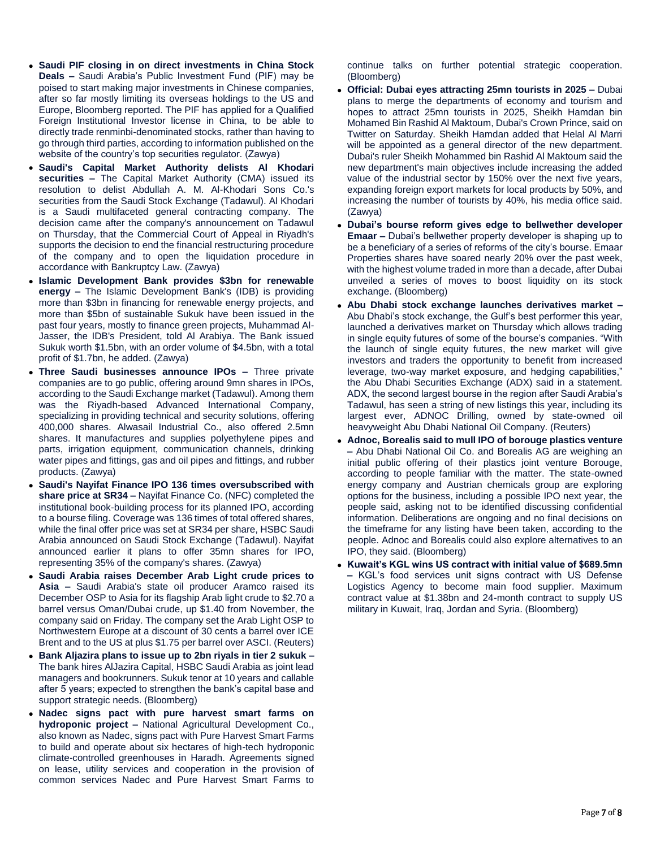- **Saudi PIF closing in on direct investments in China Stock Deals –** Saudi Arabia's Public Investment Fund (PIF) may be poised to start making major investments in Chinese companies, after so far mostly limiting its overseas holdings to the US and Europe, Bloomberg reported. The PIF has applied for a Qualified Foreign Institutional Investor license in China, to be able to directly trade renminbi-denominated stocks, rather than having to go through third parties, according to information published on the website of the country's top securities regulator. (Zawya)
- **Saudi's Capital Market Authority delists Al Khodari securities –** The Capital Market Authority (CMA) issued its resolution to delist Abdullah A. M. Al-Khodari Sons Co.'s securities from the Saudi Stock Exchange (Tadawul). Al Khodari is a Saudi multifaceted general contracting company. The decision came after the company's announcement on Tadawul on Thursday, that the Commercial Court of Appeal in Riyadh's supports the decision to end the financial restructuring procedure of the company and to open the liquidation procedure in accordance with Bankruptcy Law. (Zawya)
- **Islamic Development Bank provides \$3bn for renewable energy –** The Islamic Development Bank's (IDB) is providing more than \$3bn in financing for renewable energy projects, and more than \$5bn of sustainable Sukuk have been issued in the past four years, mostly to finance green projects, Muhammad Al-Jasser, the IDB's President, told Al Arabiya. The Bank issued Sukuk worth \$1.5bn, with an order volume of \$4.5bn, with a total profit of \$1.7bn, he added. (Zawya)
- **Three Saudi businesses announce IPOs –** Three private companies are to go public, offering around 9mn shares in IPOs, according to the Saudi Exchange market (Tadawul). Among them was the Riyadh-based Advanced International Company, specializing in providing technical and security solutions, offering 400,000 shares. Alwasail Industrial Co., also offered 2.5mn shares. It manufactures and supplies polyethylene pipes and parts, irrigation equipment, communication channels, drinking water pipes and fittings, gas and oil pipes and fittings, and rubber products. (Zawya)
- **Saudi's Nayifat Finance IPO 136 times oversubscribed with share price at SR34 –** Nayifat Finance Co. (NFC) completed the institutional book-building process for its planned IPO, according to a bourse filing. Coverage was 136 times of total offered shares, while the final offer price was set at SR34 per share, HSBC Saudi Arabia announced on Saudi Stock Exchange (Tadawul). Nayifat announced earlier it plans to offer 35mn shares for IPO, representing 35% of the company's shares. (Zawya)
- **Saudi Arabia raises December Arab Light crude prices to Asia –** Saudi Arabia's state oil producer Aramco raised its December OSP to Asia for its flagship Arab light crude to \$2.70 a barrel versus Oman/Dubai crude, up \$1.40 from November, the company said on Friday. The company set the Arab Light OSP to Northwestern Europe at a discount of 30 cents a barrel over ICE Brent and to the US at plus \$1.75 per barrel over ASCI. (Reuters)
- **Bank Aljazira plans to issue up to 2bn riyals in tier 2 sukuk –** The bank hires AlJazira Capital, HSBC Saudi Arabia as joint lead managers and bookrunners. Sukuk tenor at 10 years and callable after 5 years; expected to strengthen the bank's capital base and support strategic needs. (Bloomberg)
- **Nadec signs pact with pure harvest smart farms on hydroponic project –** National Agricultural Development Co., also known as Nadec, signs pact with Pure Harvest Smart Farms to build and operate about six hectares of high-tech hydroponic climate-controlled greenhouses in Haradh. Agreements signed on lease, utility services and cooperation in the provision of common services Nadec and Pure Harvest Smart Farms to

continue talks on further potential strategic cooperation. (Bloomberg)

- **Official: Dubai eyes attracting 25mn tourists in 2025 –** Dubai plans to merge the departments of economy and tourism and hopes to attract 25mn tourists in 2025, Sheikh Hamdan bin Mohamed Bin Rashid Al Maktoum, Dubai's Crown Prince, said on Twitter on Saturday. Sheikh Hamdan added that Helal Al Marri will be appointed as a general director of the new department. Dubai's ruler Sheikh Mohammed bin Rashid Al Maktoum said the new department's main objectives include increasing the added value of the industrial sector by 150% over the next five years, expanding foreign export markets for local products by 50%, and increasing the number of tourists by 40%, his media office said. (Zawya)
- **Dubai's bourse reform gives edge to bellwether developer Emaar –** Dubai's bellwether property developer is shaping up to be a beneficiary of a series of reforms of the city's bourse. Emaar Properties shares have soared nearly 20% over the past week, with the highest volume traded in more than a decade, after Dubai unveiled a series of moves to boost liquidity on its stock exchange. (Bloomberg)
- **Abu Dhabi stock exchange launches derivatives market –** Abu Dhabi's stock exchange, the Gulf's best performer this year, launched a derivatives market on Thursday which allows trading in single equity futures of some of the bourse's companies. "With the launch of single equity futures, the new market will give investors and traders the opportunity to benefit from increased leverage, two-way market exposure, and hedging capabilities," the Abu Dhabi Securities Exchange (ADX) said in a statement. ADX, the second largest bourse in the region after Saudi Arabia's Tadawul, has seen a string of new listings this year, including its largest ever, ADNOC Drilling, owned by state-owned oil heavyweight Abu Dhabi National Oil Company. (Reuters)
- **Adnoc, Borealis said to mull IPO of borouge plastics venture –** Abu Dhabi National Oil Co. and Borealis AG are weighing an initial public offering of their plastics joint venture Borouge, according to people familiar with the matter. The state-owned energy company and Austrian chemicals group are exploring options for the business, including a possible IPO next year, the people said, asking not to be identified discussing confidential information. Deliberations are ongoing and no final decisions on the timeframe for any listing have been taken, according to the people. Adnoc and Borealis could also explore alternatives to an IPO, they said. (Bloomberg)
- **Kuwait's KGL wins US contract with initial value of \$689.5mn –** KGL's food services unit signs contract with US Defense Logistics Agency to become main food supplier. Maximum contract value at \$1.38bn and 24-month contract to supply US military in Kuwait, Iraq, Jordan and Syria. (Bloomberg)